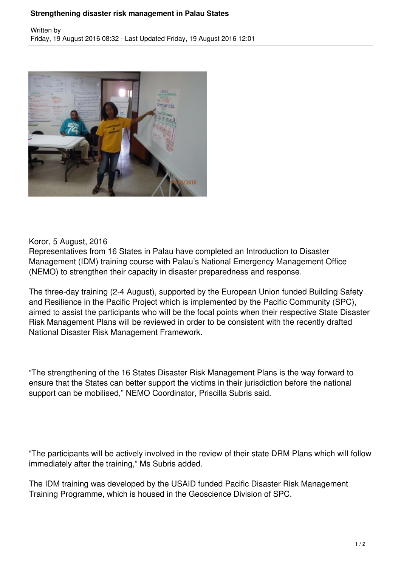## **Strengthening disaster risk management in Palau States**



## Koror, 5 August, 2016

Representatives from 16 States in Palau have completed an Introduction to Disaster Management (IDM) training course with Palau's National Emergency Management Office (NEMO) to strengthen their capacity in disaster preparedness and response.

The three-day training (2-4 August), supported by the European Union funded Building Safety and Resilience in the Pacific Project which is implemented by the Pacific Community (SPC), aimed to assist the participants who will be the focal points when their respective State Disaster Risk Management Plans will be reviewed in order to be consistent with the recently drafted National Disaster Risk Management Framework.

"The strengthening of the 16 States Disaster Risk Management Plans is the way forward to ensure that the States can better support the victims in their jurisdiction before the national support can be mobilised," NEMO Coordinator, Priscilla Subris said.

"The participants will be actively involved in the review of their state DRM Plans which will follow immediately after the training," Ms Subris added.

The IDM training was developed by the USAID funded Pacific Disaster Risk Management Training Programme, which is housed in the Geoscience Division of SPC.